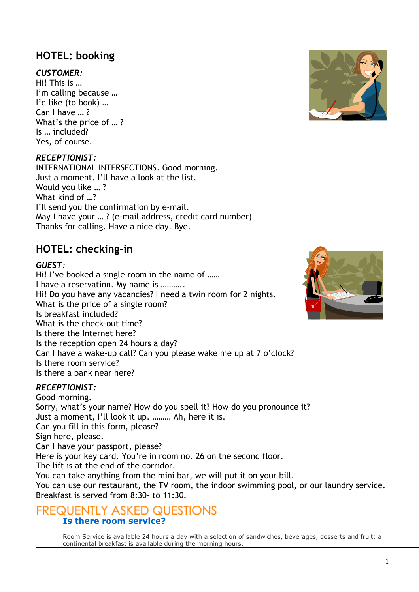# **HOTEL: booking**

## *CUSTOMER:*

Hi! This is … I'm calling because … I'd like (to book) … Can I have … ? What's the price of … ? Is … included? Yes, of course.

### *RECEPTIONIST:*

INTERNATIONAL INTERSECTIONS. Good morning. Just a moment. I'll have a look at the list. Would you like … ? What kind of …? I'll send you the confirmation by e-mail. May I have your … ? (e-mail address, credit card number) Thanks for calling. Have a nice day. Bye.

# **HOTEL: checking-in**

#### *GUEST:*

Hi! I've booked a single room in the name of ...... I have a reservation. My name is ……….. Hi! Do you have any vacancies? I need a twin room for 2 nights. What is the price of a single room? Is breakfast included? What is the check-out time? Is there the Internet here? Is the reception open 24 hours a day? Can I have a wake-up call? Can you please wake me up at 7 o'clock? Is there room service? Is there a bank near here?

### *RECEPTIONIST:*

Good morning. Sorry, what's your name? How do you spell it? How do you pronounce it? Just a moment, I'll look it up. ……… Ah, here it is. Can you fill in this form, please? Sign here, please. Can I have your passport, please? Here is your key card. You're in room no. 26 on the second floor. The lift is at the end of the corridor. You can take anything from the mini bar, we will put it on your bill. You can use our restaurant, the TV room, the indoor swimming pool, or our laundry service. Breakfast is served from 8:30- to 11:30.

# FREQUENTLY ASKED QUESTIONS **Is there room service?**

Room Service is available 24 hours a day with a selection of sandwiches, beverages, desserts and fruit; a continental breakfast is available during the morning hours.